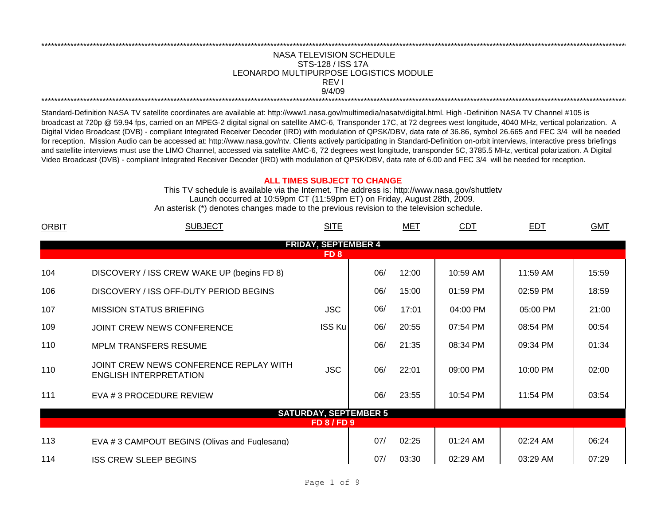## LEONARDO MULTIPURPOSE LOGISTICS MODULE \*\*\*\*\*\*\*\*\*\*\*\*\*\*\*\*\*\*\*\*\*\*\*\*\*\*\*\*\*\*\*\*\*\*\*\*\*\*\*\*\*\*\*\*\*\*\*\*\*\*\*\*\*\*\*\*\*\*\*\*\*\*\*\*\*\*\*\*\*\*\*\*\*\*\*\*\*\*\*\*\*\*\*\*\*\*\*\*\*\*\*\*\*\*\*\*\*\*\*\*\*\*\*\*\*\*\*\*\*\*\*\*\*\*\*\*\*\*\*\*\*\*\*\*\*\*\*\*\*\*\*\*\*\*\*\*\*\*\*\*\*\*\*\*\*\*\*\*\*\*\*\*\*\*\*\*\*\*\*\*\*\*\*\*\*\*\*\*\*\*\*\*\*\*\*\*\*\*\*\*\*\*\*\*\* NASA TELEVISION SCHEDULE STS-128 / ISS 17A 9/4/09 \*\*\*\*\*\*\*\*\*\*\*\*\*\*\*\*\*\*\*\*\*\*\*\*\*\*\*\*\*\*\*\*\*\*\*\*\*\*\*\*\*\*\*\*\*\*\*\*\*\*\*\*\*\*\*\*\*\*\*\*\*\*\*\*\*\*\*\*\*\*\*\*\*\*\*\*\*\*\*\*\*\*\*\*\*\*\*\*\*\*\*\*\*\*\*\*\*\*\*\*\*\*\*\*\*\*\*\*\*\*\*\*\*\*\*\*\*\*\*\*\*\*\*\*\*\*\*\*\*\*\*\*\*\*\*\*\*\*\*\*\*\*\*\*\*\*\*\*\*\*\*\*\*\*\*\*\*\*\*\*\*\*\*\*\*\*\*\*\*\*\*\*\*\*\*\*\*\*\*\*\*\*\*\*\* REV I

Standard-Definition NASA TV satellite coordinates are available at: http://www1.nasa.gov/multimedia/nasatv/digital.html. High -Definition NASA TV Channel #105 is broadcast at 720p @ 59.94 fps, carried on an MPEG-2 digital signal on satellite AMC-6, Transponder 17C, at 72 degrees west longitude, 4040 MHz, vertical polarization. A Digital Video Broadcast (DVB) - compliant Integrated Receiver Decoder (IRD) with modulation of QPSK/DBV, data rate of 36.86, symbol 26.665 and FEC 3/4 will be needed for reception. Mission Audio can be accessed at: http://www.nasa.gov/ntv. Clients actively participating in Standard-Definition on-orbit interviews, interactive press briefings and satellite interviews must use the LIMO Channel, accessed via satellite AMC-6, 72 degrees west longitude, transponder 5C, 3785.5 MHz, vertical polarization. A Digital Video Broadcast (DVB) - compliant Integrated Receiver Decoder (IRD) with modulation of QPSK/DBV, data rate of 6.00 and FEC 3/4 will be needed for reception.

## **ALL TIMES SUBJECT TO CHANGE**

Launch occurred at 10:59pm CT (11:59pm ET) on Friday, August 28th, 2009. An asterisk (\*) denotes changes made to the previous revision to the television schedule. This TV schedule is available via the Internet. The address is: http://www.nasa.gov/shuttletv

| <b>ORBIT</b> | <b>SUBJECT</b>                                                          | <b>SITE</b>                  |     | <b>MET</b> | <b>CDT</b> | EDT        | <b>GMT</b> |
|--------------|-------------------------------------------------------------------------|------------------------------|-----|------------|------------|------------|------------|
|              |                                                                         | <b>FRIDAY, SEPTEMBER 4</b>   |     |            |            |            |            |
|              |                                                                         | FD <sub>8</sub>              |     |            |            |            |            |
| 104          | DISCOVERY / ISS CREW WAKE UP (begins FD 8)                              |                              | 06/ | 12:00      | 10:59 AM   | 11:59 AM   | 15:59      |
| 106          | DISCOVERY / ISS OFF-DUTY PERIOD BEGINS                                  |                              | 06/ | 15:00      | 01:59 PM   | 02:59 PM   | 18:59      |
| 107          | <b>MISSION STATUS BRIEFING</b>                                          | <b>JSC</b>                   | 06/ | 17:01      | 04:00 PM   | 05:00 PM   | 21:00      |
| 109          | JOINT CREW NEWS CONFERENCE                                              | <b>ISS Ku</b>                | 06/ | 20:55      | 07:54 PM   | 08:54 PM   | 00:54      |
| 110          | <b>MPLM TRANSFERS RESUME</b>                                            |                              | 06/ | 21:35      | 08:34 PM   | 09:34 PM   | 01:34      |
| 110          | JOINT CREW NEWS CONFERENCE REPLAY WITH<br><b>ENGLISH INTERPRETATION</b> | <b>JSC</b>                   | 06/ | 22:01      | 09:00 PM   | 10:00 PM   | 02:00      |
| 111          | EVA # 3 PROCEDURE REVIEW                                                |                              | 06/ | 23:55      | 10:54 PM   | 11:54 PM   | 03:54      |
|              |                                                                         | <b>SATURDAY, SEPTEMBER 5</b> |     |            |            |            |            |
|              |                                                                         | <b>FD 8 / FD 9</b>           |     |            |            |            |            |
| 113          | EVA #3 CAMPOUT BEGINS (Olivas and Fuglesang)                            |                              | 07/ | 02:25      | $01:24$ AM | $02:24$ AM | 06:24      |
| 114          | <b>ISS CREW SLEEP BEGINS</b>                                            |                              | 07/ | 03:30      | 02:29 AM   | 03:29 AM   | 07:29      |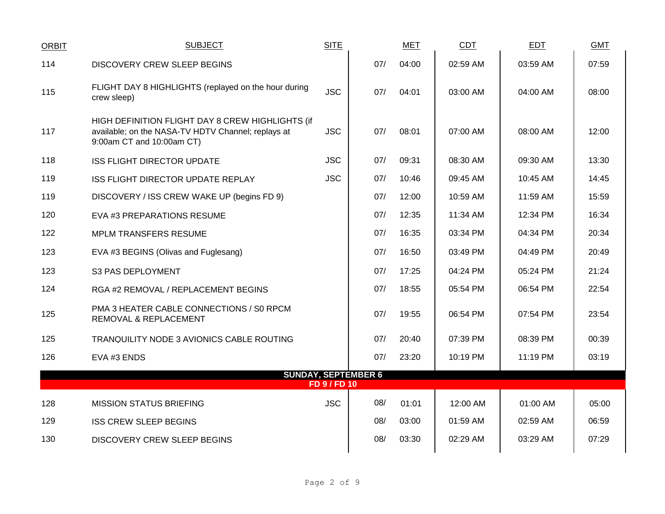| <b>ORBIT</b> | <b>SUBJECT</b>                                                                                                                      | <b>SITE</b>         |                            | <b>MET</b> | CDT      | EDT      | <b>GMT</b> |
|--------------|-------------------------------------------------------------------------------------------------------------------------------------|---------------------|----------------------------|------------|----------|----------|------------|
| 114          | <b>DISCOVERY CREW SLEEP BEGINS</b>                                                                                                  |                     | 07/                        | 04:00      | 02:59 AM | 03:59 AM | 07:59      |
| 115          | FLIGHT DAY 8 HIGHLIGHTS (replayed on the hour during<br>crew sleep)                                                                 | <b>JSC</b>          | 07/                        | 04:01      | 03:00 AM | 04:00 AM | 08:00      |
| 117          | HIGH DEFINITION FLIGHT DAY 8 CREW HIGHLIGHTS (if<br>available; on the NASA-TV HDTV Channel; replays at<br>9:00am CT and 10:00am CT) | <b>JSC</b>          | 07/                        | 08:01      | 07:00 AM | 08:00 AM | 12:00      |
| 118          | <b>ISS FLIGHT DIRECTOR UPDATE</b>                                                                                                   | <b>JSC</b>          | 07/                        | 09:31      | 08:30 AM | 09:30 AM | 13:30      |
| 119          | <b>ISS FLIGHT DIRECTOR UPDATE REPLAY</b>                                                                                            | <b>JSC</b>          | 07/                        | 10:46      | 09:45 AM | 10:45 AM | 14:45      |
| 119          | DISCOVERY / ISS CREW WAKE UP (begins FD 9)                                                                                          |                     | 07/                        | 12:00      | 10:59 AM | 11:59 AM | 15:59      |
| 120          | EVA #3 PREPARATIONS RESUME                                                                                                          |                     | 07/                        | 12:35      | 11:34 AM | 12:34 PM | 16:34      |
| 122          | <b>MPLM TRANSFERS RESUME</b>                                                                                                        |                     | 07/                        | 16:35      | 03:34 PM | 04:34 PM | 20:34      |
| 123          | EVA #3 BEGINS (Olivas and Fuglesang)                                                                                                |                     | 07/                        | 16:50      | 03:49 PM | 04:49 PM | 20:49      |
| 123          | S3 PAS DEPLOYMENT                                                                                                                   |                     | 07/                        | 17:25      | 04:24 PM | 05:24 PM | 21:24      |
| 124          | RGA #2 REMOVAL / REPLACEMENT BEGINS                                                                                                 |                     | 07/                        | 18:55      | 05:54 PM | 06:54 PM | 22:54      |
| 125          | PMA 3 HEATER CABLE CONNECTIONS / S0 RPCM<br>REMOVAL & REPLACEMENT                                                                   |                     | 07/                        | 19:55      | 06:54 PM | 07:54 PM | 23:54      |
| 125          | TRANQUILITY NODE 3 AVIONICS CABLE ROUTING                                                                                           |                     | 07/                        | 20:40      | 07:39 PM | 08:39 PM | 00:39      |
| 126          | EVA #3 ENDS                                                                                                                         |                     | 07/                        | 23:20      | 10:19 PM | 11:19 PM | 03:19      |
|              |                                                                                                                                     | <b>FD 9 / FD 10</b> | <b>SUNDAY, SEPTEMBER 6</b> |            |          |          |            |
| 128          | <b>MISSION STATUS BRIEFING</b>                                                                                                      | <b>JSC</b>          | 08/                        | 01:01      | 12:00 AM | 01:00 AM | 05:00      |
| 129          | <b>ISS CREW SLEEP BEGINS</b>                                                                                                        |                     | 08/                        | 03:00      | 01:59 AM | 02:59 AM | 06:59      |
| 130          | <b>DISCOVERY CREW SLEEP BEGINS</b>                                                                                                  |                     | 08/                        | 03:30      | 02:29 AM | 03:29 AM | 07:29      |
|              |                                                                                                                                     |                     |                            |            |          |          |            |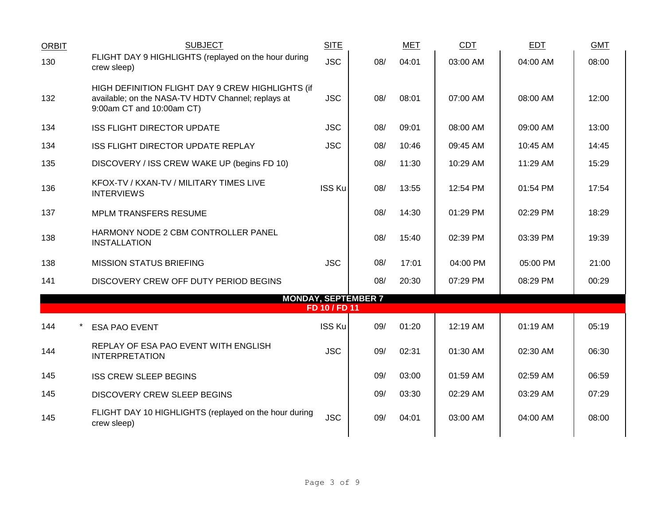| <b>ORBIT</b> | <b>SUBJECT</b>                                                                                                                      | <b>SITE</b>   |                            | <b>MET</b> | <b>CDT</b> | <b>EDT</b> | <b>GMT</b> |  |
|--------------|-------------------------------------------------------------------------------------------------------------------------------------|---------------|----------------------------|------------|------------|------------|------------|--|
| 130          | FLIGHT DAY 9 HIGHLIGHTS (replayed on the hour during<br>crew sleep)                                                                 | <b>JSC</b>    | 08/                        | 04:01      | 03:00 AM   | 04:00 AM   | 08:00      |  |
| 132          | HIGH DEFINITION FLIGHT DAY 9 CREW HIGHLIGHTS (if<br>available; on the NASA-TV HDTV Channel; replays at<br>9:00am CT and 10:00am CT) | <b>JSC</b>    | 08/                        | 08:01      | 07:00 AM   | 08:00 AM   | 12:00      |  |
| 134          | <b>ISS FLIGHT DIRECTOR UPDATE</b>                                                                                                   | <b>JSC</b>    | 08/                        | 09:01      | 08:00 AM   | 09:00 AM   | 13:00      |  |
| 134          | ISS FLIGHT DIRECTOR UPDATE REPLAY                                                                                                   | <b>JSC</b>    | 08/                        | 10:46      | 09:45 AM   | 10:45 AM   | 14:45      |  |
| 135          | DISCOVERY / ISS CREW WAKE UP (begins FD 10)                                                                                         |               | 08/                        | 11:30      | 10:29 AM   | 11:29 AM   | 15:29      |  |
| 136          | KFOX-TV / KXAN-TV / MILITARY TIMES LIVE<br><b>INTERVIEWS</b>                                                                        | <b>ISS Ku</b> | 08/                        | 13:55      | 12:54 PM   | 01:54 PM   | 17:54      |  |
| 137          | <b>MPLM TRANSFERS RESUME</b>                                                                                                        |               | 08/                        | 14:30      | 01:29 PM   | 02:29 PM   | 18:29      |  |
| 138          | HARMONY NODE 2 CBM CONTROLLER PANEL<br><b>INSTALLATION</b>                                                                          |               | 08/                        | 15:40      | 02:39 PM   | 03:39 PM   | 19:39      |  |
| 138          | <b>MISSION STATUS BRIEFING</b>                                                                                                      | <b>JSC</b>    | 08/                        | 17:01      | 04:00 PM   | 05:00 PM   | 21:00      |  |
| 141          | DISCOVERY CREW OFF DUTY PERIOD BEGINS                                                                                               |               | 08/                        | 20:30      | 07:29 PM   | 08:29 PM   | 00:29      |  |
|              |                                                                                                                                     | FD 10 / FD 11 | <b>MONDAY, SEPTEMBER 7</b> |            |            |            |            |  |
| 144          | <b>ESA PAO EVENT</b>                                                                                                                | <b>ISS Ku</b> | 09/                        | 01:20      | 12:19 AM   | 01:19 AM   | 05:19      |  |
| 144          | REPLAY OF ESA PAO EVENT WITH ENGLISH<br><b>INTERPRETATION</b>                                                                       | <b>JSC</b>    | 09/                        | 02:31      | 01:30 AM   | 02:30 AM   | 06:30      |  |
| 145          | <b>ISS CREW SLEEP BEGINS</b>                                                                                                        |               | 09/                        | 03:00      | 01:59 AM   | 02:59 AM   | 06:59      |  |
| 145          | DISCOVERY CREW SLEEP BEGINS                                                                                                         |               | 09/                        | 03:30      | 02:29 AM   | 03:29 AM   | 07:29      |  |
| 145          | FLIGHT DAY 10 HIGHLIGHTS (replayed on the hour during<br>crew sleep)                                                                | <b>JSC</b>    | 09/                        | 04:01      | 03:00 AM   | 04:00 AM   | 08:00      |  |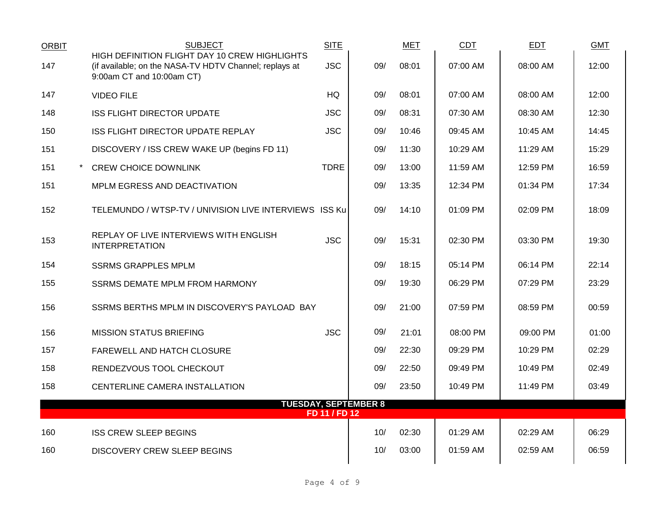| <b>ORBIT</b> | <b>SUBJECT</b>                                                                                                                       | <b>SITE</b>   |                             | <b>MET</b> | CDT        | EDT      | <b>GMT</b> |
|--------------|--------------------------------------------------------------------------------------------------------------------------------------|---------------|-----------------------------|------------|------------|----------|------------|
| 147          | HIGH DEFINITION FLIGHT DAY 10 CREW HIGHLIGHTS<br>(if available; on the NASA-TV HDTV Channel; replays at<br>9:00am CT and 10:00am CT) | <b>JSC</b>    | 09/                         | 08:01      | 07:00 AM   | 08:00 AM | 12:00      |
| 147          | <b>VIDEO FILE</b>                                                                                                                    | <b>HQ</b>     | 09/                         | 08:01      | 07:00 AM   | 08:00 AM | 12:00      |
| 148          | <b>ISS FLIGHT DIRECTOR UPDATE</b>                                                                                                    | <b>JSC</b>    | 09/                         | 08:31      | 07:30 AM   | 08:30 AM | 12:30      |
| 150          | <b>ISS FLIGHT DIRECTOR UPDATE REPLAY</b>                                                                                             | <b>JSC</b>    | 09/                         | 10:46      | 09:45 AM   | 10:45 AM | 14:45      |
| 151          | DISCOVERY / ISS CREW WAKE UP (begins FD 11)                                                                                          |               | 09/                         | 11:30      | $10:29$ AM | 11:29 AM | 15:29      |
| 151          | <b>CREW CHOICE DOWNLINK</b>                                                                                                          | <b>TDRE</b>   | 09/                         | 13:00      | 11:59 AM   | 12:59 PM | 16:59      |
| 151          | MPLM EGRESS AND DEACTIVATION                                                                                                         |               | 09/                         | 13:35      | 12:34 PM   | 01:34 PM | 17:34      |
| 152          | TELEMUNDO / WTSP-TV / UNIVISION LIVE INTERVIEWS ISS Ku                                                                               |               | 09/                         | 14:10      | 01:09 PM   | 02:09 PM | 18:09      |
| 153          | REPLAY OF LIVE INTERVIEWS WITH ENGLISH<br><b>INTERPRETATION</b>                                                                      | <b>JSC</b>    | 09/                         | 15:31      | 02:30 PM   | 03:30 PM | 19:30      |
| 154          | <b>SSRMS GRAPPLES MPLM</b>                                                                                                           |               | 09/                         | 18:15      | 05:14 PM   | 06:14 PM | 22:14      |
| 155          | SSRMS DEMATE MPLM FROM HARMONY                                                                                                       |               | 09/                         | 19:30      | 06:29 PM   | 07:29 PM | 23:29      |
| 156          | SSRMS BERTHS MPLM IN DISCOVERY'S PAYLOAD BAY                                                                                         |               | 09/                         | 21:00      | 07:59 PM   | 08:59 PM | 00:59      |
| 156          | <b>MISSION STATUS BRIEFING</b>                                                                                                       | <b>JSC</b>    | 09/                         | 21:01      | 08:00 PM   | 09:00 PM | 01:00      |
| 157          | FAREWELL AND HATCH CLOSURE                                                                                                           |               | 09/                         | 22:30      | 09:29 PM   | 10:29 PM | 02:29      |
| 158          | RENDEZVOUS TOOL CHECKOUT                                                                                                             |               | 09/                         | 22:50      | 09:49 PM   | 10:49 PM | 02:49      |
| 158          | CENTERLINE CAMERA INSTALLATION                                                                                                       |               | 09/                         | 23:50      | 10:49 PM   | 11:49 PM | 03:49      |
|              |                                                                                                                                      | FD 11 / FD 12 | <b>TUESDAY, SEPTEMBER 8</b> |            |            |          |            |
| 160          | <b>ISS CREW SLEEP BEGINS</b>                                                                                                         |               | 10/                         | 02:30      | $01:29$ AM | 02:29 AM | 06:29      |
| 160          | <b>DISCOVERY CREW SLEEP BEGINS</b>                                                                                                   |               | 10/                         | 03:00      | 01:59 AM   | 02:59 AM | 06:59      |
|              |                                                                                                                                      |               |                             |            |            |          |            |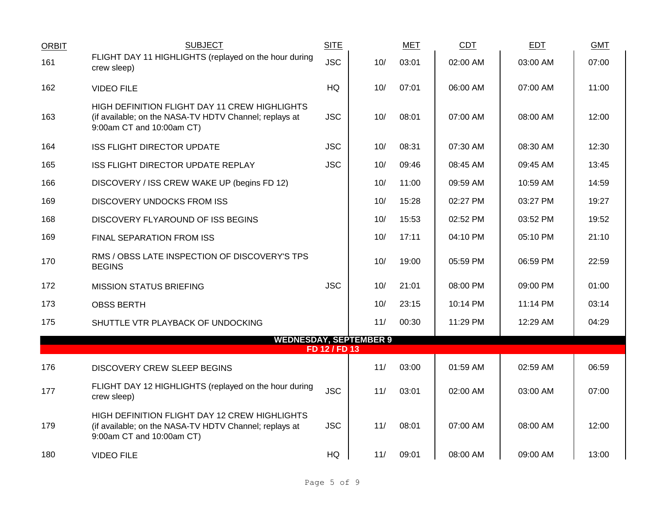| <b>ORBIT</b> | <b>SUBJECT</b>                                                                                                                       | <b>SITE</b>   |     | <b>MET</b> | <b>CDT</b> | <b>EDT</b> | <b>GMT</b> |
|--------------|--------------------------------------------------------------------------------------------------------------------------------------|---------------|-----|------------|------------|------------|------------|
| 161          | FLIGHT DAY 11 HIGHLIGHTS (replayed on the hour during<br>crew sleep)                                                                 | <b>JSC</b>    | 10/ | 03:01      | 02:00 AM   | 03:00 AM   | 07:00      |
| 162          | <b>VIDEO FILE</b>                                                                                                                    | HQ            | 10/ | 07:01      | 06:00 AM   | 07:00 AM   | 11:00      |
| 163          | HIGH DEFINITION FLIGHT DAY 11 CREW HIGHLIGHTS<br>(if available; on the NASA-TV HDTV Channel; replays at<br>9:00am CT and 10:00am CT) | <b>JSC</b>    | 10/ | 08:01      | 07:00 AM   | 08:00 AM   | 12:00      |
| 164          | <b>ISS FLIGHT DIRECTOR UPDATE</b>                                                                                                    | <b>JSC</b>    | 10/ | 08:31      | 07:30 AM   | 08:30 AM   | 12:30      |
| 165          | ISS FLIGHT DIRECTOR UPDATE REPLAY                                                                                                    | <b>JSC</b>    | 10/ | 09:46      | 08:45 AM   | 09:45 AM   | 13:45      |
| 166          | DISCOVERY / ISS CREW WAKE UP (begins FD 12)                                                                                          |               | 10/ | 11:00      | 09:59 AM   | 10:59 AM   | 14:59      |
| 169          | <b>DISCOVERY UNDOCKS FROM ISS</b>                                                                                                    |               | 10/ | 15:28      | 02:27 PM   | 03:27 PM   | 19:27      |
| 168          | DISCOVERY FLYAROUND OF ISS BEGINS                                                                                                    |               | 10/ | 15:53      | 02:52 PM   | 03:52 PM   | 19:52      |
| 169          | FINAL SEPARATION FROM ISS                                                                                                            |               | 10/ | 17:11      | 04:10 PM   | 05:10 PM   | 21:10      |
| 170          | RMS / OBSS LATE INSPECTION OF DISCOVERY'S TPS<br><b>BEGINS</b>                                                                       |               | 10/ | 19:00      | 05:59 PM   | 06:59 PM   | 22:59      |
| 172          | <b>MISSION STATUS BRIEFING</b>                                                                                                       | <b>JSC</b>    | 10/ | 21:01      | 08:00 PM   | 09:00 PM   | 01:00      |
| 173          | <b>OBSS BERTH</b>                                                                                                                    |               | 10/ | 23:15      | 10:14 PM   | 11:14 PM   | 03:14      |
| 175          | SHUTTLE VTR PLAYBACK OF UNDOCKING                                                                                                    |               | 11/ | 00:30      | 11:29 PM   | 12:29 AM   | 04:29      |
|              | <b>WEDNESDAY, SEPTEMBER 9</b>                                                                                                        |               |     |            |            |            |            |
|              |                                                                                                                                      | FD 12 / FD 13 |     |            |            |            |            |
| 176          | <b>DISCOVERY CREW SLEEP BEGINS</b>                                                                                                   |               | 11/ | 03:00      | 01:59 AM   | 02:59 AM   | 06:59      |
| 177          | FLIGHT DAY 12 HIGHLIGHTS (replayed on the hour during<br>crew sleep)                                                                 | <b>JSC</b>    | 11/ | 03:01      | 02:00 AM   | 03:00 AM   | 07:00      |
| 179          | HIGH DEFINITION FLIGHT DAY 12 CREW HIGHLIGHTS<br>(if available; on the NASA-TV HDTV Channel; replays at<br>9:00am CT and 10:00am CT) | <b>JSC</b>    | 11/ | 08:01      | 07:00 AM   | 08:00 AM   | 12:00      |
| 180          | <b>VIDEO FILE</b>                                                                                                                    | HQ            | 11/ | 09:01      | 08:00 AM   | 09:00 AM   | 13:00      |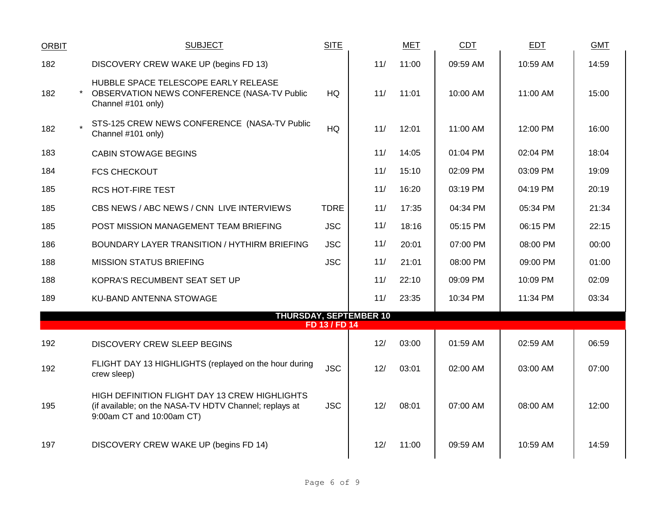| <b>ORBIT</b> | <b>SUBJECT</b>                                                                                                                       | <b>SITE</b>   |     | <b>MET</b> | <b>CDT</b> | <b>EDT</b> | <b>GMT</b> |  |
|--------------|--------------------------------------------------------------------------------------------------------------------------------------|---------------|-----|------------|------------|------------|------------|--|
| 182          | DISCOVERY CREW WAKE UP (begins FD 13)                                                                                                |               | 11/ | 11:00      | 09:59 AM   | 10:59 AM   | 14:59      |  |
| 182          | HUBBLE SPACE TELESCOPE EARLY RELEASE<br>OBSERVATION NEWS CONFERENCE (NASA-TV Public<br>Channel #101 only)                            | HQ.           | 11/ | 11:01      | 10:00 AM   | 11:00 AM   | 15:00      |  |
| 182          | STS-125 CREW NEWS CONFERENCE (NASA-TV Public<br>Channel #101 only)                                                                   | HQ            | 11/ | 12:01      | 11:00 AM   | 12:00 PM   | 16:00      |  |
| 183          | <b>CABIN STOWAGE BEGINS</b>                                                                                                          |               | 11/ | 14:05      | 01:04 PM   | 02:04 PM   | 18:04      |  |
| 184          | <b>FCS CHECKOUT</b>                                                                                                                  |               | 11/ | 15:10      | 02:09 PM   | 03:09 PM   | 19:09      |  |
| 185          | <b>RCS HOT-FIRE TEST</b>                                                                                                             |               | 11/ | 16:20      | 03:19 PM   | 04:19 PM   | 20:19      |  |
| 185          | CBS NEWS / ABC NEWS / CNN LIVE INTERVIEWS                                                                                            | <b>TDRE</b>   | 11/ | 17:35      | 04:34 PM   | 05:34 PM   | 21:34      |  |
| 185          | POST MISSION MANAGEMENT TEAM BRIEFING                                                                                                | <b>JSC</b>    | 11/ | 18:16      | 05:15 PM   | 06:15 PM   | 22:15      |  |
| 186          | BOUNDARY LAYER TRANSITION / HYTHIRM BRIEFING                                                                                         | <b>JSC</b>    | 11/ | 20:01      | 07:00 PM   | 08:00 PM   | 00:00      |  |
| 188          | <b>MISSION STATUS BRIEFING</b>                                                                                                       | <b>JSC</b>    | 11/ | 21:01      | 08:00 PM   | 09:00 PM   | 01:00      |  |
| 188          | KOPRA'S RECUMBENT SEAT SET UP                                                                                                        |               | 11/ | 22:10      | 09:09 PM   | 10:09 PM   | 02:09      |  |
| 189          | KU-BAND ANTENNA STOWAGE                                                                                                              |               | 11/ | 23:35      | 10:34 PM   | 11:34 PM   | 03:34      |  |
|              | <b>THURSDAY, SEPTEMBER 10</b>                                                                                                        | FD 13 / FD 14 |     |            |            |            |            |  |
| 192          | <b>DISCOVERY CREW SLEEP BEGINS</b>                                                                                                   |               | 12/ | 03:00      | 01:59 AM   | 02:59 AM   | 06:59      |  |
| 192          | FLIGHT DAY 13 HIGHLIGHTS (replayed on the hour during<br>crew sleep)                                                                 | <b>JSC</b>    | 12/ | 03:01      | 02:00 AM   | 03:00 AM   | 07:00      |  |
| 195          | HIGH DEFINITION FLIGHT DAY 13 CREW HIGHLIGHTS<br>(if available; on the NASA-TV HDTV Channel; replays at<br>9:00am CT and 10:00am CT) | <b>JSC</b>    | 12/ | 08:01      | 07:00 AM   | 08:00 AM   | 12:00      |  |
| 197          | DISCOVERY CREW WAKE UP (begins FD 14)                                                                                                |               | 12/ | 11:00      | 09:59 AM   | 10:59 AM   | 14:59      |  |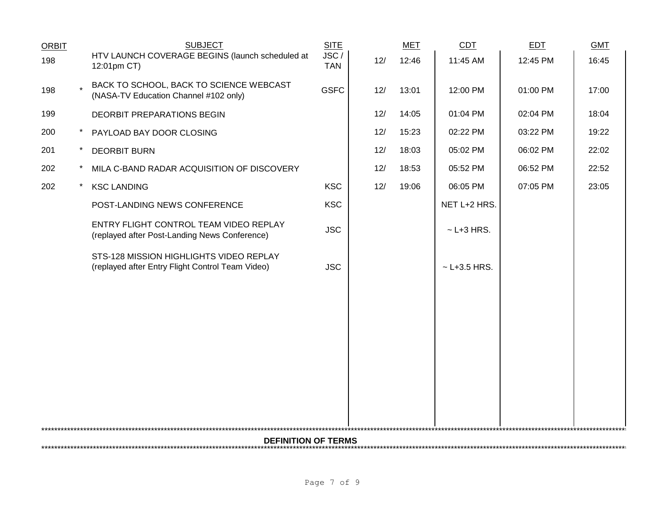| <b>ORBIT</b> |         | <b>SUBJECT</b>                                                                              | <b>SITE</b>        |     | <b>MET</b> | CDT              | <b>EDT</b> | <b>GMT</b> |  |
|--------------|---------|---------------------------------------------------------------------------------------------|--------------------|-----|------------|------------------|------------|------------|--|
| 198          |         | HTV LAUNCH COVERAGE BEGINS (launch scheduled at<br>12:01pm CT)                              | JSC/<br><b>TAN</b> | 12/ | 12:46      | 11:45 AM         | 12:45 PM   | 16:45      |  |
| 198          |         | BACK TO SCHOOL, BACK TO SCIENCE WEBCAST<br>(NASA-TV Education Channel #102 only)            | <b>GSFC</b>        | 12/ | 13:01      | 12:00 PM         | 01:00 PM   | 17:00      |  |
| 199          |         | DEORBIT PREPARATIONS BEGIN                                                                  |                    | 12/ | 14:05      | 01:04 PM         | 02:04 PM   | 18:04      |  |
| 200          | $\star$ | PAYLOAD BAY DOOR CLOSING                                                                    |                    | 12/ | 15:23      | 02:22 PM         | 03:22 PM   | 19:22      |  |
| 201          |         | <b>DEORBIT BURN</b>                                                                         |                    | 12/ | 18:03      | 05:02 PM         | 06:02 PM   | 22:02      |  |
| 202          |         | MILA C-BAND RADAR ACQUISITION OF DISCOVERY                                                  |                    | 12/ | 18:53      | 05:52 PM         | 06:52 PM   | 22:52      |  |
| 202          |         | <b>KSC LANDING</b>                                                                          | <b>KSC</b>         | 12/ | 19:06      | 06:05 PM         | 07:05 PM   | 23:05      |  |
|              |         | POST-LANDING NEWS CONFERENCE                                                                | <b>KSC</b>         |     |            | NET L+2 HRS.     |            |            |  |
|              |         | ENTRY FLIGHT CONTROL TEAM VIDEO REPLAY<br>(replayed after Post-Landing News Conference)     | <b>JSC</b>         |     |            | $~$ - L+3 HRS.   |            |            |  |
|              |         | STS-128 MISSION HIGHLIGHTS VIDEO REPLAY<br>(replayed after Entry Flight Control Team Video) | <b>JSC</b>         |     |            | $~$ - L+3.5 HRS. |            |            |  |
|              |         |                                                                                             |                    |     |            |                  |            |            |  |
|              |         |                                                                                             |                    |     |            |                  |            |            |  |
|              |         |                                                                                             |                    |     |            |                  |            |            |  |
|              |         |                                                                                             |                    |     |            |                  |            |            |  |
|              |         |                                                                                             |                    |     |            |                  |            |            |  |
|              |         |                                                                                             |                    |     |            |                  |            |            |  |
|              |         |                                                                                             |                    |     |            |                  |            |            |  |
|              |         |                                                                                             |                    |     |            |                  |            |            |  |
|              |         | <b>DEFINITION OF TERMS</b>                                                                  |                    |     |            |                  |            |            |  |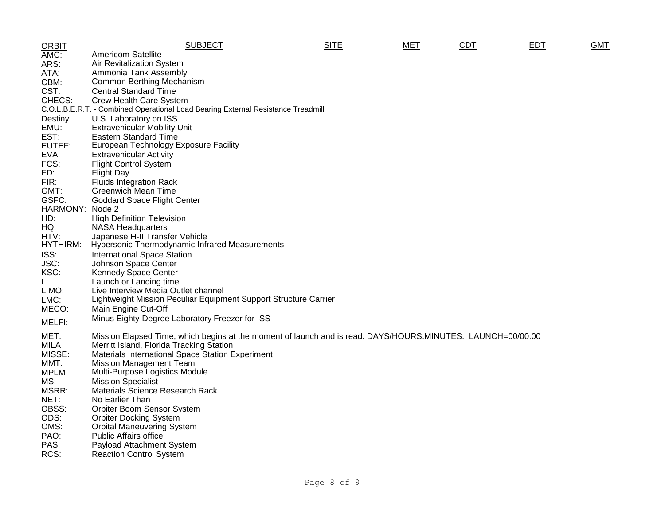| <b>ORBIT</b>    | <b>SUBJECT</b>                                                                                              | <b>SITE</b> | MET | <b>CDT</b> | <b>EDT</b> | GMT |
|-----------------|-------------------------------------------------------------------------------------------------------------|-------------|-----|------------|------------|-----|
| AMC:            | <b>Americom Satellite</b>                                                                                   |             |     |            |            |     |
| ARS:            | Air Revitalization System                                                                                   |             |     |            |            |     |
| ATA:            | Ammonia Tank Assembly                                                                                       |             |     |            |            |     |
| CBM:            | <b>Common Berthing Mechanism</b>                                                                            |             |     |            |            |     |
| CST:            | <b>Central Standard Time</b>                                                                                |             |     |            |            |     |
| CHECS:          | Crew Health Care System                                                                                     |             |     |            |            |     |
|                 | C.O.L.B.E.R.T. - Combined Operational Load Bearing External Resistance Treadmill                            |             |     |            |            |     |
| Destiny:        | U.S. Laboratory on ISS                                                                                      |             |     |            |            |     |
| EMU:            | <b>Extravehicular Mobility Unit</b>                                                                         |             |     |            |            |     |
| EST:            | <b>Eastern Standard Time</b>                                                                                |             |     |            |            |     |
| EUTEF:          | European Technology Exposure Facility                                                                       |             |     |            |            |     |
| EVA:            | <b>Extravehicular Activity</b>                                                                              |             |     |            |            |     |
| FCS:            | <b>Flight Control System</b>                                                                                |             |     |            |            |     |
| FD:             | Flight Day                                                                                                  |             |     |            |            |     |
| FIR:            | <b>Fluids Integration Rack</b>                                                                              |             |     |            |            |     |
| GMT:            | <b>Greenwich Mean Time</b>                                                                                  |             |     |            |            |     |
| GSFC:           | <b>Goddard Space Flight Center</b>                                                                          |             |     |            |            |     |
| <b>HARMONY:</b> | Node 2                                                                                                      |             |     |            |            |     |
| HD:             | <b>High Definition Television</b>                                                                           |             |     |            |            |     |
| HQ:             | <b>NASA Headquarters</b>                                                                                    |             |     |            |            |     |
| HTV:            | Japanese H-II Transfer Vehicle                                                                              |             |     |            |            |     |
| HYTHIRM:        | Hypersonic Thermodynamic Infrared Measurements                                                              |             |     |            |            |     |
| ISS:            | <b>International Space Station</b>                                                                          |             |     |            |            |     |
| JSC:            | Johnson Space Center                                                                                        |             |     |            |            |     |
| KSC:            | <b>Kennedy Space Center</b>                                                                                 |             |     |            |            |     |
| Ŀ.              | Launch or Landing time                                                                                      |             |     |            |            |     |
| LIMO:           | Live Interview Media Outlet channel                                                                         |             |     |            |            |     |
| LMC:            | Lightweight Mission Peculiar Equipment Support Structure Carrier                                            |             |     |            |            |     |
| MECO:           | Main Engine Cut-Off                                                                                         |             |     |            |            |     |
|                 | Minus Eighty-Degree Laboratory Freezer for ISS                                                              |             |     |            |            |     |
| MELFI:          |                                                                                                             |             |     |            |            |     |
| MET:            | Mission Elapsed Time, which begins at the moment of launch and is read: DAYS/HOURS:MINUTES. LAUNCH=00/00:00 |             |     |            |            |     |
| <b>MILA</b>     | Merritt Island, Florida Tracking Station                                                                    |             |     |            |            |     |
| MISSE:          | Materials International Space Station Experiment                                                            |             |     |            |            |     |
| MMT:            | <b>Mission Management Team</b>                                                                              |             |     |            |            |     |
| <b>MPLM</b>     | Multi-Purpose Logistics Module                                                                              |             |     |            |            |     |
| MS:             | <b>Mission Specialist</b>                                                                                   |             |     |            |            |     |
| MSRR:           | <b>Materials Science Research Rack</b>                                                                      |             |     |            |            |     |
| NET:            | No Earlier Than                                                                                             |             |     |            |            |     |
| OBSS:           | Orbiter Boom Sensor System                                                                                  |             |     |            |            |     |
| ODS:            | <b>Orbiter Docking System</b>                                                                               |             |     |            |            |     |
| OMS:            | <b>Orbital Maneuvering System</b>                                                                           |             |     |            |            |     |
| PAO:            | <b>Public Affairs office</b>                                                                                |             |     |            |            |     |
| PAS:            | Payload Attachment System                                                                                   |             |     |            |            |     |
| RCS:            | <b>Reaction Control System</b>                                                                              |             |     |            |            |     |
|                 |                                                                                                             |             |     |            |            |     |